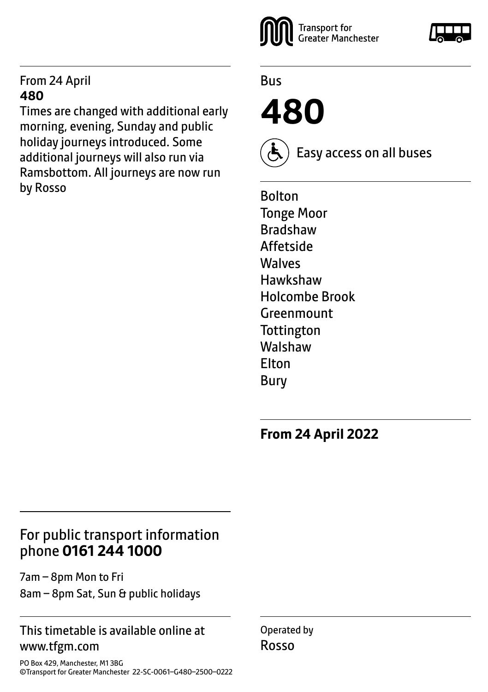#### From 24 April **480**

Times are changed with additional early morning, evening, Sunday and public holiday journeys introduced. Some additional journeys will also run via Ramsbottom. All journeys are now run by Rosso



Bus

**480** 



Easy access on all buses

Bolton Tonge Moor Bradshaw Affetside Walves Hawkshaw Holcombe Brook **Greenmount Tottington** Walshaw Elton Bury

**From 24 April 2022**

# For public transport information phone **0161 244 1000**

7am – 8pm Mon to Fri 8am – 8pm Sat, Sun & public holidays

#### This timetable is available online at www.tfgm.com

Operated by Rosso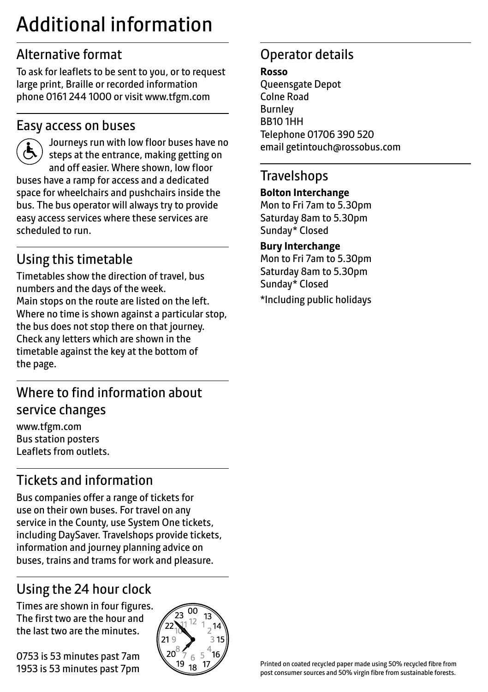# Additional information

# Alternative format

To ask for leaflets to be sent to you, or to request large print, Braille or recorded information phone 0161 244 1000 or visit www.tfgm.com

### Easy access on buses



 Journeys run with low floor buses have no steps at the entrance, making getting on and off easier. Where shown, low floor buses have a ramp for access and a dedicated space for wheelchairs and pushchairs inside the bus. The bus operator will always try to provide easy access services where these services are scheduled to run.

# Using this timetable

Timetables show the direction of travel, bus numbers and the days of the week. Main stops on the route are listed on the left. Where no time is shown against a particular stop, the bus does not stop there on that journey. Check any letters which are shown in the timetable against the key at the bottom of the page.

# Where to find information about service changes

www.tfgm.com Bus station posters Leaflets from outlets.

# Tickets and information

Bus companies offer a range of tickets for use on their own buses. For travel on any service in the County, use System One tickets, including DaySaver. Travelshops provide tickets, information and journey planning advice on buses, trains and trams for work and pleasure.

# Using the 24 hour clock

Times are shown in four figures. The first two are the hour and the last two are the minutes.

0753 is 53 minutes past 7am 1953 is 53 minutes past 7pm



# Operator details

**Rosso**

Queensgate Depot Colne Road Burnley BB10 1HH Telephone 01706 390 520 email getintouch@rossobus.com

### **Travelshops**

#### **Bolton Interchange**

Mon to Fri 7am to 5.30pm Saturday 8am to 5.30pm Sunday\* Closed

#### **Bury Interchange**

Mon to Fri 7am to 5.30pm Saturday 8am to 5.30pm Sunday\* Closed

\*Including public holidays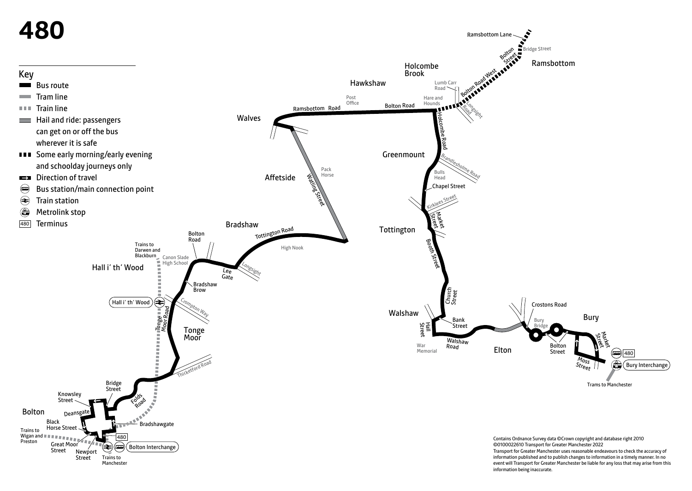

event will Transport for Greater Manchester be liable for any loss that may arise from this information being inaccurate.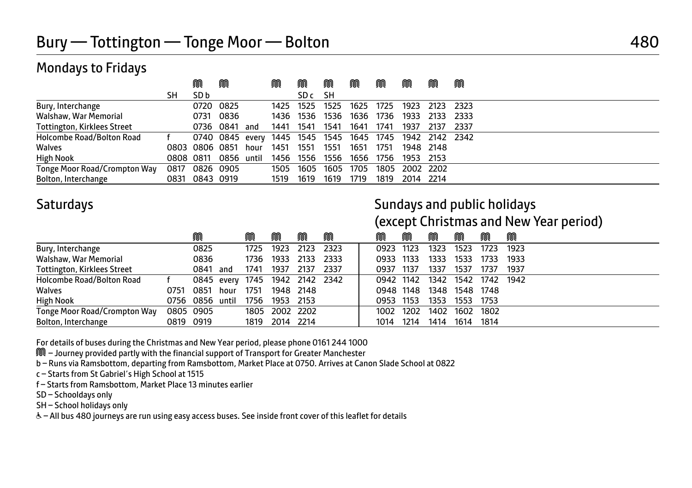## Mondays to Fridays

|                                    |           | ⋒              | M                              |      | M         | M    | M    | M         | M    | M              | M    | M    |
|------------------------------------|-----------|----------------|--------------------------------|------|-----------|------|------|-----------|------|----------------|------|------|
|                                    | SН        | SD b           |                                |      |           | SD c | SН   |           |      |                |      |      |
| Bury, Interchange                  |           | 0720 0825      |                                |      | 1425 1525 |      | 1525 | 1625      | 1725 | 1923           | 2123 | 2323 |
| Walshaw, War Memorial              |           |                | 0731 0836                      |      | 1436      | 1536 | 1536 | 1636      | 1736 | 1933           | 2133 | 2333 |
| <b>Tottington, Kirklees Street</b> |           | 0736 0841      |                                | and  | 1441      | 1541 | 1541 | 1641      | 1741 | 1937           | 2137 | 2337 |
| Holcombe Road/Bolton Road          |           |                | 0740 0845 every 1445 1545 1545 |      |           |      |      | 1645 1745 |      | 1942 2142 2342 |      |      |
| Walves                             |           | 0803 0806 0851 |                                | hour | 1451      | 1551 | 1551 | 1651      | 1751 | 1948 2148      |      |      |
| <b>High Nook</b>                   | 0808 0811 |                | 0856 until                     |      | 1456      | 1556 | 1556 | 1656      | 1756 | 1953           | 2153 |      |
| Tonge Moor Road/Crompton Way       | 0817      | 0826 0905      |                                |      | 1505      | 1605 | 1605 | 1705      | 1805 | 2002 2202      |      |      |
| Bolton, Interchange                | 0831      | 0843 0919      |                                |      | 1519      | 1619 | 1619 | 1719      | 1819 | 2014 2214      |      |      |

# Saturdays **Saturdays** Saturdays and public holidays and public holidays

(except Christmas and New Year period)

|                                    |           | M               |      | M    |                     | M         | M    | M         | M    | M    | M         | M    | M    |
|------------------------------------|-----------|-----------------|------|------|---------------------|-----------|------|-----------|------|------|-----------|------|------|
| Bury, Interchange                  |           | 0825            |      | 1725 | 1923                | 2123      | 2323 | 0923      | 1123 | 1323 | 1523      | 1723 | 1923 |
| Walshaw, War Memorial              |           | 0836            |      | 1736 | 1933                | 2133      | 2333 | 0933      | 1133 | 1333 | 1533      | 1733 | 1933 |
| <b>Tottington, Kirklees Street</b> |           | 0841            | and  | 1741 | 1937                | 2137      | 2337 | 0937      | 1137 | 1337 | 1537      | 1737 | 1937 |
| Holcombe Road/Bolton Road          |           | 0845 every      |      |      | 1745 1942 2142 2342 |           |      | 0942 1142 |      | 1342 | 1542      | 1742 | 1942 |
| Walves                             | 0751      | 0851            | hour | 1751 |                     | 1948 2148 |      | 0948 1148 |      | 1348 | 1548      | 1748 |      |
| <b>High Nook</b>                   |           | 0756 0856 until |      | 1756 | 1953 2153           |           |      | 0953 1153 |      | 1353 | 1553 1753 |      |      |
| Tonge Moor Road/Crompton Way       |           | 0805 0905       |      |      | 1805 2002 2202      |           |      | 1002 1202 |      | 1402 | 1602      | 1802 |      |
| Bolton, Interchange                | 0819 0919 |                 |      | 1819 | 2014 2214           |           |      | 1014      | 1214 | 1414 | 1614      | 1814 |      |

For details of buses during the Christmas and New Year period, please phone 0161 244 1000

M – Journey provided partly with the financial support of Transport for Greater Manchester

b – Runs via Ramsbottom, departing from Ramsbottom, Market Place at 0750. Arrives at Canon Slade School at 0822

c – Starts from St Gabriel's High School at 1515

f – Starts from Ramsbottom, Market Place 13 minutes earlier

SD – Schooldays only

SH – School holidays only

& - All bus 480 journeys are run using easy access buses. See inside front cover of this leaflet for details